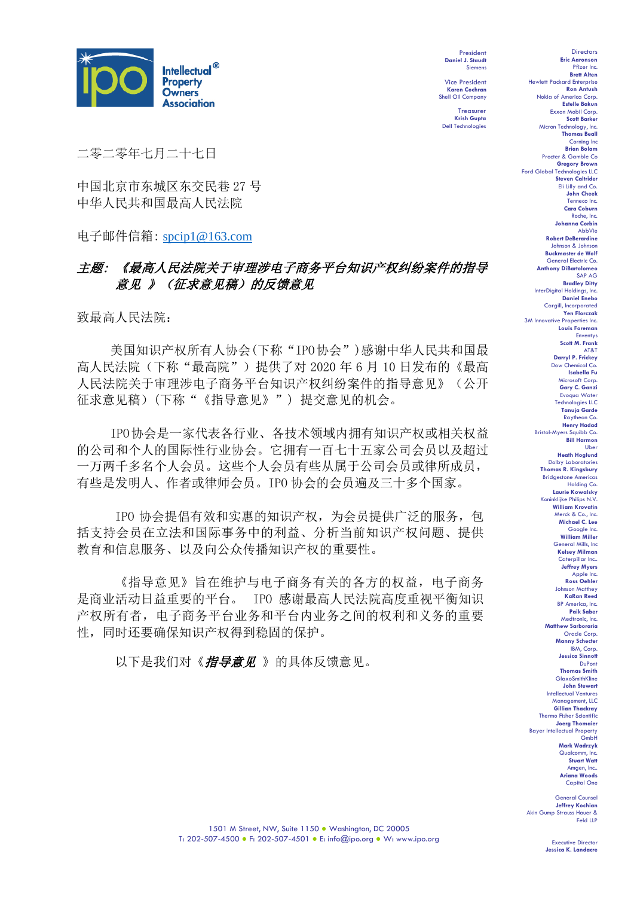

President **Daniel J. Staudt** Siemens

Vice President **Karen Cochran** Shell Oil Company

Treasurer **Krish Gupta** Dell Technologies

二零二零年七月二十七日

中国北京市东城区东交民巷 27 号 中华人民共和国最高人民法院

电子邮件信箱: [spcip1@163.com](mailto:spcip1@163.com)

# 主题: 《最高人民法院关于审理涉电子商务平台知识产权纠纷案件的指导 意见 》(征求意见稿)的反馈意见

致最高人民法院:

美国知识产权所有人协会(下称"IPO协会")感谢中华人民共和国最 高人民法院(下称"最高院")提供了对 2020年 6 月 10 日发布的《最高 人民法院关于审理涉电子商务平台知识产权纠纷案件的指导意见》(公开 征求意见稿)(下称"《指导意见》") 提交意见的机会。

IPO协会是一家代表各行业、各技术领域内拥有知识产权或相关权益 的公司和个人的国际性行业协会。它拥有一百七十五家公司会员以及超过 一万两千多名个人会员。这些个人会员有些从属于公司会员或律所成员, 有些是发明人、作者或律师会员。IPO 协会的会员遍及三十多个国家。

IPO 协会提倡有效和实惠的知识产权,为会员提供广泛的服务,包 括支持会员在立法和国际事务中的利益、分析当前知识产权问题、提供 教育和信息服务、以及向公众传播知识产权的重要性。

《指导意见》旨在维护与电子商务有关的各方的权益,电子商务 是商业活动日益重要的平台。 IPO 感谢最高人民法院高度重视平衡知识 产权所有者,电子商务平台业务和平台内业务之间的权利和义务的重要 性,同时还要确保知识产权得到稳固的保护。

以下是我们对《指导意见》的具体反馈意见。

**Eric Aaronson**  Pfizer Inc. **Brett Alten** Hewlett Packard Enterprise **Ron Antush** Nokia of America Corp. **Estelle Bakun** Exxon Mobil Corp. **Scott Barker** Micron Technology, Inc. **Thomas Beall** Corning Inc **Brian Bolam** Procter & Gamble Co **Gregory Brown** Ford Global Technologies LLC **Steven Caltrider** Eli Lilly and Co. **John Cheek** Tenneco Inc. **Cara Coburn** Roche, Inc. **Johanna Corbin** AbbVie **Robert DeBerardine** Johnson & Johnson **Buckmaster de Wolf** General Electric Co. **Anthony DiBartolomeo** SAP AG **Bradley Ditty** InterDigital Holdings, Inc. **Daniel Enebo** Cargill, Incorporated **Yen Florczak** 3M Innovative Properties Inc. **Louis Foreman** Enventys **Scott M. Frank** AT&T **Darryl P. Frickey** Dow Chemical Co. **Isabella Fu**  Microsoft Corp. **Gary C. Ganzi** Evoqua Water Technologies LLC **Tanuja Garde** Raytheon Co. **Henry Hadad** Bristol-Myers Squibb Co. **Bill Harmon** Uber **Heath Hoglund** Dolby Laboratories **Thomas R. Kingsbury Bridgestone America** Holding Co. **Laurie Kowalsky Minklijke Philips N.V. William Krovatin** Merck & Co., Inc. **Michael C. Lee** Google Inc. **William Miller** eneral Mills, Inc **Kelsey Milman** Caterpillar Inc.. **Jeffrey Myers** Apple **Ross Oehler** Johnson Matthey **KaRan Reed** BP America, Inc. **Paik Saber** Medtronic, Inc. **Matthew Sarboraria** Oracle Corp. **Manny Schecter** IBM, Corp. **Jessica Sinnott** DuPont **Thomas Smith** GlaxoSmithKline **John Stewart** Intellectual Ventures Management, LLC **Gillian Thackray** Thermo Fisher Scientific **Joerg Thomaier** Bayer Intellectual Property GmbH **Mark Wadrzyk** Qualcomm, Inc. **Stuart Watt** Amgen, Inc.. **Ariana Woods** Capital One

Directors

General Co **Jeffrey Kochian** Akin Gump Strauss Hauer & Feld LLP

Executive Directo **Jessica K. Landacre**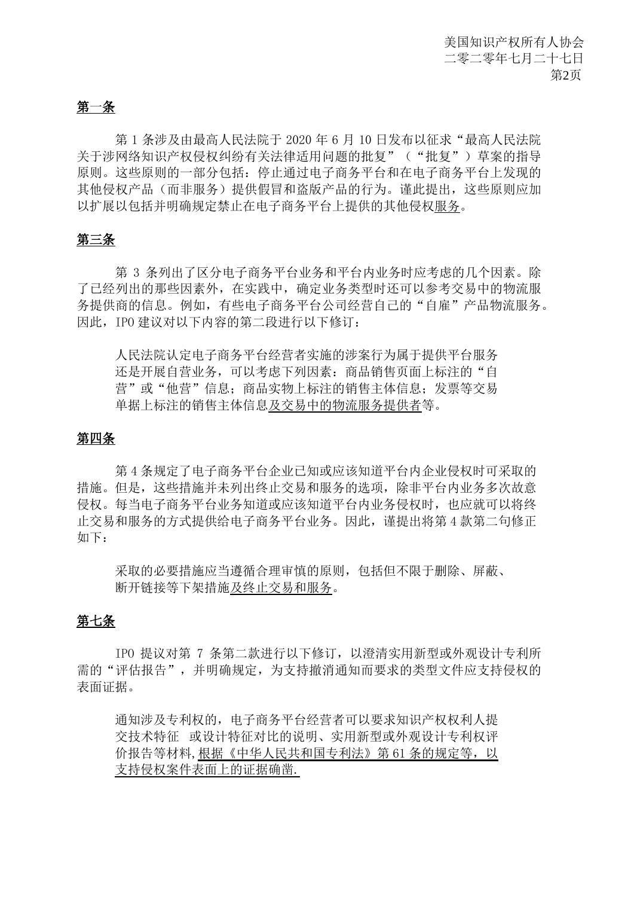### 第一条

第1条涉及由最高人民法院于 2020年6月 10日发布以征求"最高人民法院 关于涉网络知识产权侵权纠纷有关法律适用问题的批复"("批复")草案的指导 原则。这些原则的一部分包括:停止通过电子商务平台和在电子商务平台上发现的 其他侵权产品(而非服务)提供假冒和盗版产品的行为。谨此提出,这些原则应加 以扩展以包括并明确规定禁止在电子商务平台上提供的其他侵权服务。

## 第三条

第 3 条列出了区分电子商务平台业务和平台内业务时应考虑的几个因素。除 了已经列出的那些因素外,在实践中,确定业务类型时还可以参考交易中的物流服 务提供商的信息。例如,有些电子商务平台公司经营自己的"自雇"产品物流服务。 因此,IPO 建议对以下内容的第二段进行以下修订:

人民法院认定电子商务平台经营者实施的涉案行为属于提供平台服务 还是开展自营业务,可以考虑下列因素:商品销售页面上标注的"自 营"或"他营"信息;商品实物上标注的销售主体信息;发票等交易 单据上标注的销售主体信息及交易中的物流服务提供者等。

### 第四条

第 4 条规定了电子商务平台企业已知或应该知道平台内企业侵权时可采取的 措施。但是,这些措施并未列出终止交易和服务的选项,除非平台内业务多次故意 侵权。每当电子商务平台业务知道或应该知道平台内业务侵权时,也应就可以将终 止交易和服务的方式提供给电子商务平台业务。因此,谨提出将第 4 款第二句修正 如下:

采取的必要措施应当遵循合理审慎的原则,包括但不限于删除、屏蔽、 断开链接等下架措施及终止交易和服务。

#### 第七条

IPO 提议对第 7 条第二款进行以下修订,以澄清实用新型或外观设计专利所 需的"评估报告",并明确规定,为支持撤消通知而要求的类型文件应支持侵权的 表面证据。

通知涉及专利权的,电子商务平台经营者可以要求知识产权权利人提 交技术特征 或设计特征对比的说明、实用新型或外观设计专利权评 价报告等材料, 根据《中华人民共和国专利法》第61条的规定等, 以 支持侵权案件表面上的证据确凿.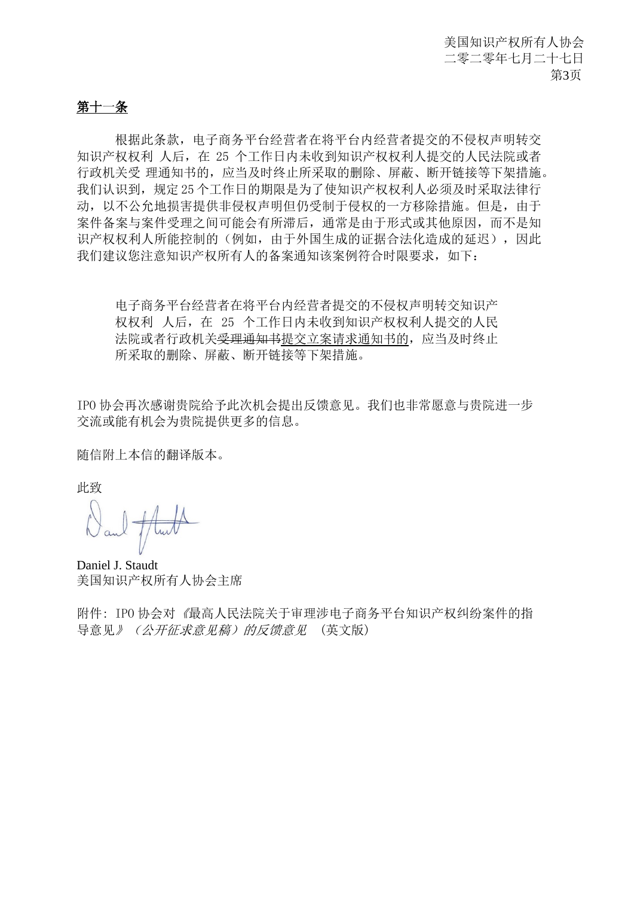# 第十一条

根据此条款,电子商务平台经营者在将平台内经营者提交的不侵权声明转交 知识产权权利 人后,在 25 个工作日内未收到知识产权权利人提交的人民法院或者 行政机关受 理通知书的,应当及时终止所采取的删除、屏蔽、断开链接等下架措施。 我们认识到,规定 25 个工作日的期限是为了使知识产权权利人必须及时采取法律行 动,以不公允地损害提供非侵权声明但仍受制于侵权的一方移除措施。但是,由于 案件备案与案件受理之间可能会有所滞后,通常是由于形式或其他原因,而不是知 识产权权利人所能控制的(例如,由于外国生成的证据合法化造成的延迟),因此 我们建议您注意知识产权所有人的备案通知该案例符合时限要求,如下:

电子商务平台经营者在将平台内经营者提交的不侵权声明转交知识产 权权利 人后,在 25 个工作日内未收到知识产权权利人提交的人民 法院或者行政机关<del>受理通知书</del>提交立案请求通知书的, 应当及时终止 所采取的删除、屏蔽、断开链接等下架措施。

IPO 协会再次感谢贵院给予此次机会提出反馈意见。我们也非常愿意与贵院进一步 交流或能有机会为贵院提供更多的信息。

随信附上本信的翻译版本。

此致

Daniel J. Staudt 美国知识产权所有人协会主席

附件: IPO 协会对《最高人民法院关于审理涉电子商务平台知识产权纠纷案件的指 导意见》(公开征求意见稿)的反馈意见 (英文版)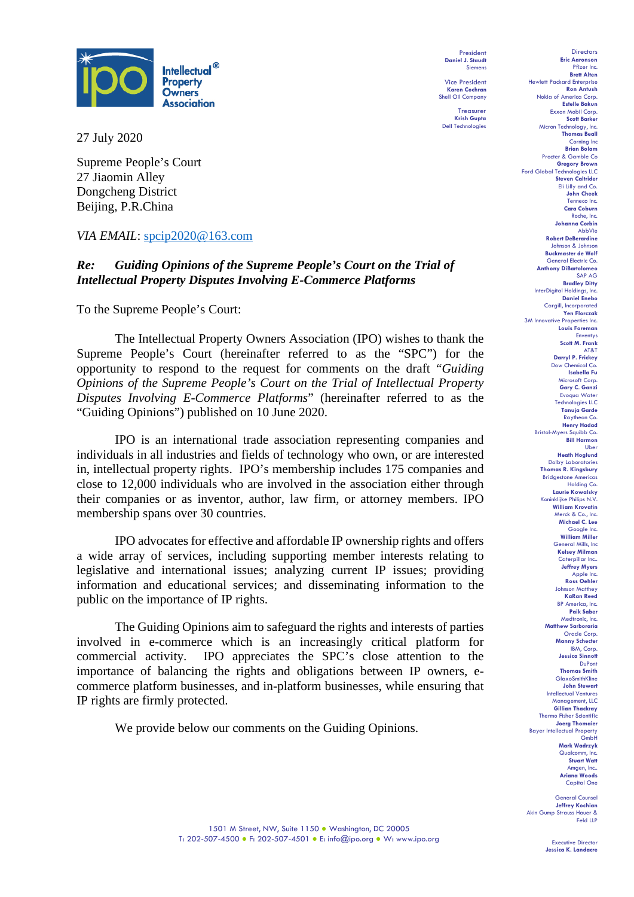

27 July 2020

Supreme People's Court 27 Jiaomin Alley Dongcheng District Beijing, P.R.China

### *VIA EMAIL*: [spcip2020@163.com](mailto:spcip2020@163.com)

# *Re: Guiding Opinions of the Supreme People's Court on the Trial of Intellectual Property Disputes Involving E-Commerce Platforms*

To the Supreme People's Court:

The Intellectual Property Owners Association (IPO) wishes to thank the Supreme People's Court (hereinafter referred to as the "SPC") for the opportunity to respond to the request for comments on the draft "*Guiding Opinions of the Supreme People's Court on the Trial of Intellectual Property Disputes Involving E-Commerce Platforms*" (hereinafter referred to as the "Guiding Opinions") published on 10 June 2020.

IPO is an international trade association representing companies and individuals in all industries and fields of technology who own, or are interested in, intellectual property rights. IPO's membership includes 175 companies and close to 12,000 individuals who are involved in the association either through their companies or as inventor, author, law firm, or attorney members. IPO membership spans over 30 countries.

IPO advocates for effective and affordable IP ownership rights and offers a wide array of services, including supporting member interests relating to legislative and international issues; analyzing current IP issues; providing information and educational services; and disseminating information to the public on the importance of IP rights.

The Guiding Opinions aim to safeguard the rights and interests of parties involved in e-commerce which is an increasingly critical platform for commercial activity. IPO appreciates the SPC's close attention to the importance of balancing the rights and obligations between IP owners, ecommerce platform businesses, and in-platform businesses, while ensuring that IP rights are firmly protected.

We provide below our comments on the Guiding Opinions.

President **Daniel J. Staudt** Siem

Vice President **Karen Cochran** Shell Oil Company

Treasurer **Krish Gupta** Dell Technologies

Directors **Eric Aaronson**  Pfizer Inc. **Brett Alten** Hewlett Packard Enterprise **Ron Antush** Nokia of America Corp. **Estelle Bakun** Exxon Mobil Corp. **Scott Bark** Micron Technology, Inc. **Thomas Beall** Corning Inc **Brian Bol** Procter & Gamble Co **Gregory Brown** Ford Global Technologies LLC **Steven Caltrider** Eli Lilly and Co. **John Cheek** Tenneco Inc. **Cara Coburn** Roche, Inc. **Johanna Corbin** AbbVie **Robert DeBerardine** Johnson & Johnson **Buckmaster de Wolf** General Electric Co. **Anthony DiBartolomeo** SAP AG **Bradley Ditty** InterDigital Holdings, Inc. **Daniel Enebo** Cargill, Incorporated **Yen Florczak** 3M Innovative Properties Inc. **Louis Foreman** Enventys **Scott M. Frank** AT&T **Darryl P. Frickey** Dow Chemical Co. **Isabella Fu**  Microsoft Corp. **Gary C. Ganzi** Evoqua Water Technologies LLC **Tanuja Garde** Raytheon Co. **Henry Hadad** Bristol-Myers Squibb Co. **Bill Harmon** Uber **Heath Hoglund** Dolby Laboratories **Thomas R. Kingsbury** Bridgestone America Holding Co. **Laurie Kowalsky** Koninklijke Philips N.V. **William Krovatin** Merck & Co., Inc. **Michael C. Lee** Google Inc. **William Miller** General Mills, Inc **Kelsey Milman** Caterpillar Inc.. **Jeffrey Myers** Apple **Ross Oehler** Johnson Matthey **KaRan Reed** BP America, Inc. **Paik Saber** Medtronic, Inc. **Matthew Sarboraria** Oracle Corp. **Manny Schecter** IBM, Corp. **Jessica Sinnott** DuPont **Thomas Smith GlaxoSmithKline John Stewart** Intellectual Ventures Management, LLC **Gillian Thackray** Thermo Fisher Scientific **Joerg Thomaier** Bayer Intellectual Property GmbH **Mark Wadrzyk** Qualcomm, In **Stuart Watt** Amgen, Inc. **Ariana Woods** Capital One

General Co **Jeffrey Kochian** Akin Gump Strauss Hauer & Feld LLP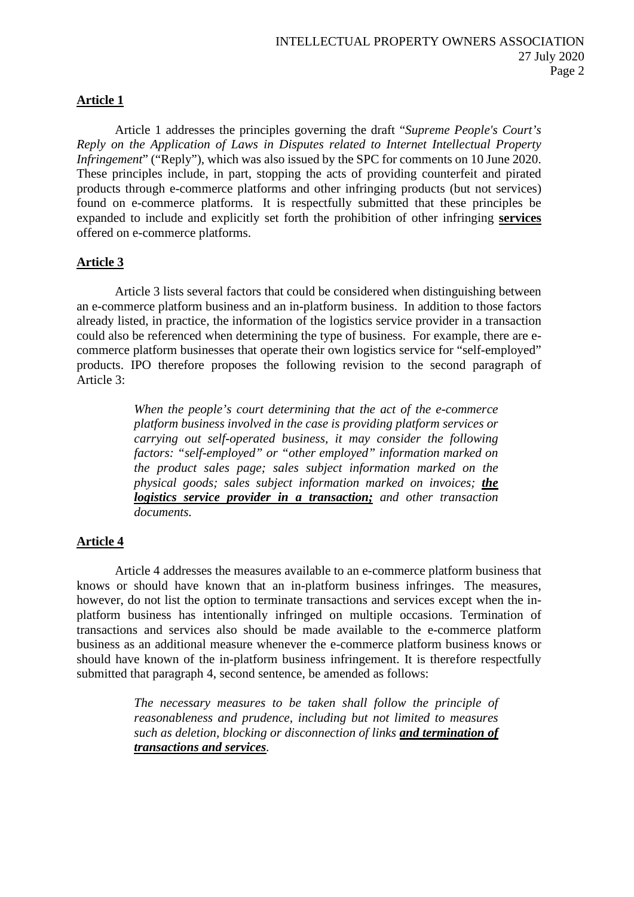## **Article 1**

Article 1 addresses the principles governing the draft "*Supreme People's Court's Reply on the Application of Laws in Disputes related to Internet Intellectual Property Infringement*" ("Reply"), which was also issued by the SPC for comments on 10 June 2020. These principles include, in part, stopping the acts of providing counterfeit and pirated products through e-commerce platforms and other infringing products (but not services) found on e-commerce platforms. It is respectfully submitted that these principles be expanded to include and explicitly set forth the prohibition of other infringing **services** offered on e-commerce platforms.

### **Article 3**

Article 3 lists several factors that could be considered when distinguishing between an e-commerce platform business and an in-platform business. In addition to those factors already listed, in practice, the information of the logistics service provider in a transaction could also be referenced when determining the type of business. For example, there are ecommerce platform businesses that operate their own logistics service for "self-employed" products. IPO therefore proposes the following revision to the second paragraph of Article 3:

> *When the people's court determining that the act of the e-commerce platform business involved in the case is providing platform services or carrying out self-operated business, it may consider the following factors: "self-employed" or "other employed" information marked on the product sales page; sales subject information marked on the physical goods; sales subject information marked on invoices; the logistics service provider in a transaction; and other transaction documents.*

#### **Article 4**

Article 4 addresses the measures available to an e-commerce platform business that knows or should have known that an in-platform business infringes. The measures, however, do not list the option to terminate transactions and services except when the inplatform business has intentionally infringed on multiple occasions. Termination of transactions and services also should be made available to the e-commerce platform business as an additional measure whenever the e-commerce platform business knows or should have known of the in-platform business infringement. It is therefore respectfully submitted that paragraph 4, second sentence, be amended as follows:

> *The necessary measures to be taken shall follow the principle of reasonableness and prudence, including but not limited to measures such as deletion, blocking or disconnection of links and termination of transactions and services.*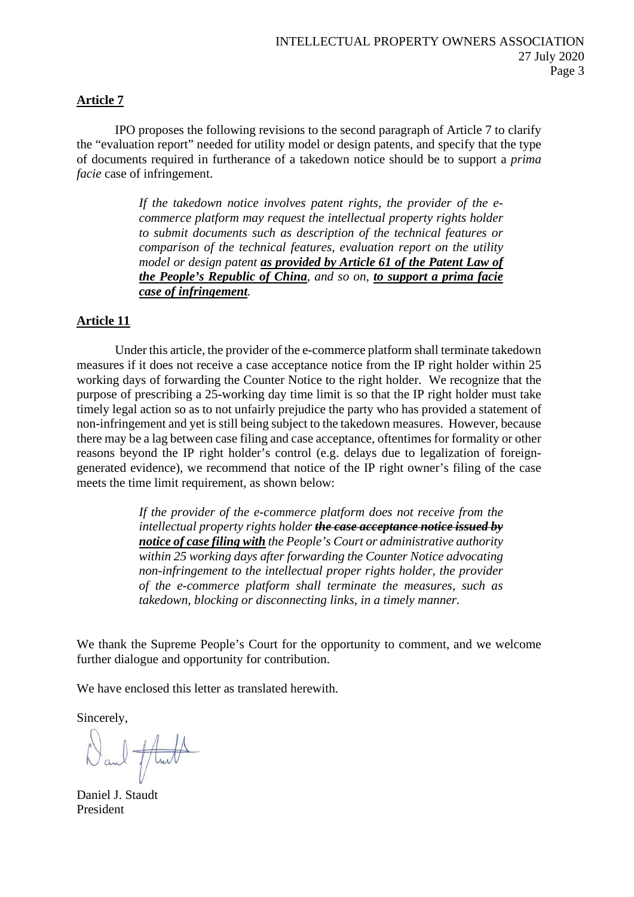#### **Article 7**

IPO proposes the following revisions to the second paragraph of Article 7 to clarify the "evaluation report" needed for utility model or design patents, and specify that the type of documents required in furtherance of a takedown notice should be to support a *prima facie* case of infringement.

> *If the takedown notice involves patent rights, the provider of the ecommerce platform may request the intellectual property rights holder to submit documents such as description of the technical features or comparison of the technical features, evaluation report on the utility model or design patent as provided by Article 61 of the Patent Law of the People's Republic of China, and so on, to support a prima facie case of infringement.*

### **Article 11**

Under this article, the provider of the e-commerce platform shall terminate takedown measures if it does not receive a case acceptance notice from the IP right holder within 25 working days of forwarding the Counter Notice to the right holder. We recognize that the purpose of prescribing a 25-working day time limit is so that the IP right holder must take timely legal action so as to not unfairly prejudice the party who has provided a statement of non-infringement and yet is still being subject to the takedown measures. However, because there may be a lag between case filing and case acceptance, oftentimes for formality or other reasons beyond the IP right holder's control (e.g. delays due to legalization of foreigngenerated evidence), we recommend that notice of the IP right owner's filing of the case meets the time limit requirement, as shown below:

> *If the provider of the e-commerce platform does not receive from the intellectual property rights holder the case acceptance notice issued by notice of case filing with the People's Court or administrative authority within 25 working days after forwarding the Counter Notice advocating non-infringement to the intellectual proper rights holder, the provider of the e-commerce platform shall terminate the measures, such as takedown, blocking or disconnecting links, in a timely manner.*

We thank the Supreme People's Court for the opportunity to comment, and we welcome further dialogue and opportunity for contribution.

We have enclosed this letter as translated herewith.

Sincerely,

and fluid

Daniel J. Staudt President